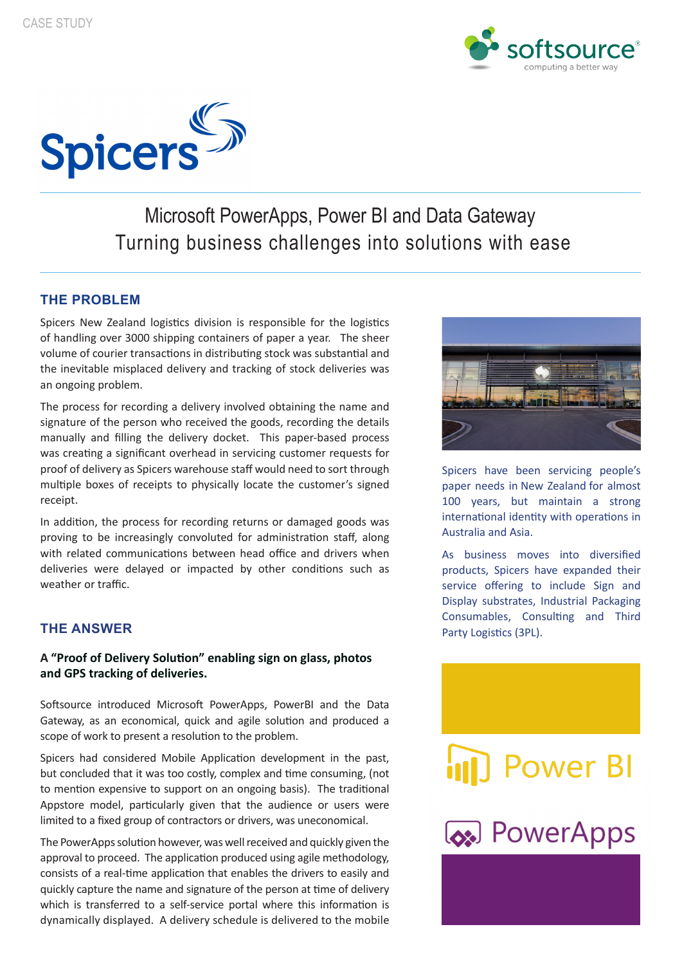



## Microsoft PowerApps, Power BI and Data Gateway Turning business challenges into solutions with ease

### **THE PROBLEM**

Spicers New Zealand logistics division is responsible for the logistics of handling over 3000 shipping containers of paper a year.  The sheer volume of courier transactions in distributing stock was substantial and the inevitable misplaced delivery and tracking of stock deliveries was an ongoing problem.

The process for recording a delivery involved obtaining the name and signature of the person who received the goods, recording the details manually and filling the delivery docket. This paper-based process was creating a significant overhead in servicing customer requests for proof of delivery as Spicers warehouse staff would need to sort through multiple boxes of receipts to physically locate the customer's signed receipt.

In addition, the process for recording returns or damaged goods was proving to be increasingly convoluted for administration staff, along with related communications between head office and drivers when deliveries were delayed or impacted by other conditions such as weather or traffic.

#### **THE ANSWER**

#### **A "Proof of Delivery Solution" enabling sign on glass, photos and GPS tracking of deliveries.**

Softsource introduced Microsoft PowerApps, PowerBI and the Data Gateway, as an economical, quick and agile solution and produced a scope of work to present a resolution to the problem.

Spicers had considered Mobile Application development in the past, but concluded that it was too costly, complex and time consuming, (not to mention expensive to support on an ongoing basis). The traditional Appstore model, particularly given that the audience or users were limited to a fixed group of contractors or drivers, was uneconomical.

approval to proceed. The application produced using agile methodology, consists of a real-time application that enables the drivers to easily and quickly capture the name and signature of the person at time of delivery The PowerApps solution however, was well received and quickly given the which is transferred to a self-service portal where this information is dynamically displayed. A delivery schedule is delivered to the mobile



Spicers have been servicing people's paper needs in New Zealand for almost 100 years, but maintain a strong international identity with operations in Australia and Asia.

As business moves into diversified products, Spicers have expanded their service offering to include Sign and Display substrates, Industrial Packaging Consumables, Consulting and Third Party Logistics (3PL).